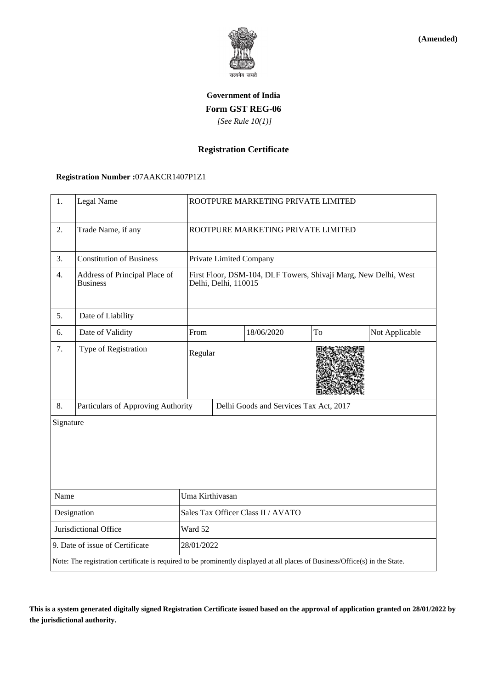

**(Amended)**

# **Government of India Form GST REG-06**  *[See Rule 10(1)]*

### **Registration Certificate**

#### **Registration Number :**07AAKCR1407P1Z1

| 1.                              | Legal Name                                                                                                                   |                                    | ROOTPURE MARKETING PRIVATE LIMITED                                                      |            |    |                |  |
|---------------------------------|------------------------------------------------------------------------------------------------------------------------------|------------------------------------|-----------------------------------------------------------------------------------------|------------|----|----------------|--|
| 2.                              | Trade Name, if any                                                                                                           |                                    | ROOTPURE MARKETING PRIVATE LIMITED                                                      |            |    |                |  |
| 3.                              | <b>Constitution of Business</b>                                                                                              |                                    | Private Limited Company                                                                 |            |    |                |  |
| 4.                              | Address of Principal Place of<br><b>Business</b>                                                                             |                                    | First Floor, DSM-104, DLF Towers, Shivaji Marg, New Delhi, West<br>Delhi, Delhi, 110015 |            |    |                |  |
| 5.                              | Date of Liability                                                                                                            |                                    |                                                                                         |            |    |                |  |
| 6.                              | Date of Validity                                                                                                             | From                               |                                                                                         | 18/06/2020 | To | Not Applicable |  |
| 7.                              | Type of Registration                                                                                                         | Regular                            |                                                                                         |            |    |                |  |
| 8.                              | Particulars of Approving Authority                                                                                           |                                    | Delhi Goods and Services Tax Act, 2017                                                  |            |    |                |  |
| Signature                       |                                                                                                                              |                                    |                                                                                         |            |    |                |  |
| Name                            |                                                                                                                              | Uma Kirthivasan                    |                                                                                         |            |    |                |  |
| Designation                     |                                                                                                                              | Sales Tax Officer Class II / AVATO |                                                                                         |            |    |                |  |
| Jurisdictional Office           |                                                                                                                              | Ward 52                            |                                                                                         |            |    |                |  |
| 9. Date of issue of Certificate |                                                                                                                              |                                    | 28/01/2022                                                                              |            |    |                |  |
|                                 | Note: The registration certificate is required to be prominently displayed at all places of Business/Office(s) in the State. |                                    |                                                                                         |            |    |                |  |

**This is a system generated digitally signed Registration Certificate issued based on the approval of application granted on 28/01/2022 by the jurisdictional authority.**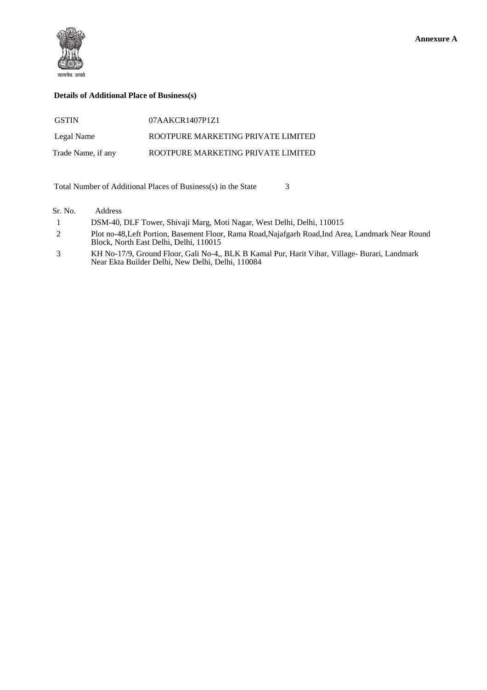

#### **Details of Additional Place of Business(s)**

| <b>GSTIN</b>       | 07AAKCR1407P1Z1                    |
|--------------------|------------------------------------|
| Legal Name         | ROOTPURE MARKETING PRIVATE LIMITED |
| Trade Name, if any | ROOTPURE MARKETING PRIVATE LIMITED |

Total Number of Additional Places of Business(s) in the State 3

Sr. No. Address

1 DSM-40, DLF Tower, Shivaji Marg, Moti Nagar, West Delhi, Delhi, 110015

- 2 Plot no-48,Left Portion, Basement Floor, Rama Road,Najafgarh Road,Ind Area, Landmark Near Round Block, North East Delhi, Delhi, 110015
- 3 KH No-17/9, Ground Floor, Gali No-4,, BLK B Kamal Pur, Harit Vihar, Village- Burari, Landmark Near Ekta Builder Delhi, New Delhi, Delhi, 110084